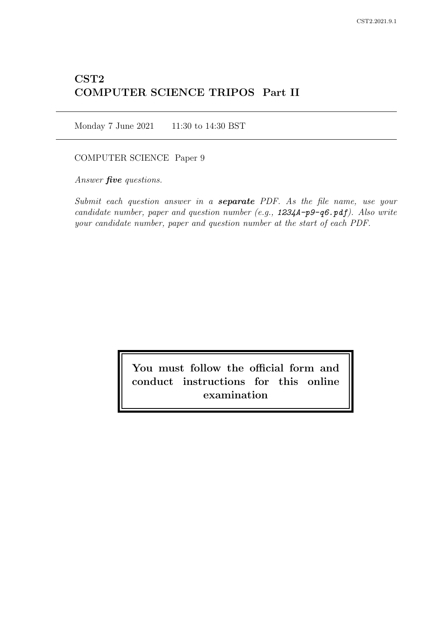# CST2 COMPUTER SCIENCE TRIPOS Part II

Monday 7 June 2021 11:30 to 14:30 BST

## COMPUTER SCIENCE Paper 9

Answer *five* questions.

Submit each question answer in a **separate** PDF. As the file name, use your candidate number, paper and question number (e.g., 1234A-p9-q6.pdf). Also write your candidate number, paper and question number at the start of each PDF.

> You must follow the official form and conduct instructions for this online examination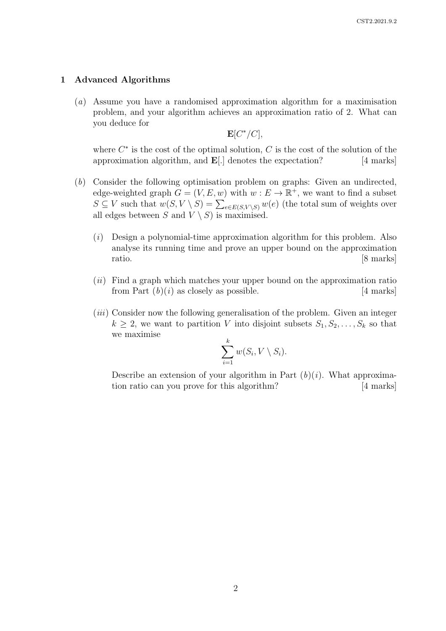#### 1 Advanced Algorithms

(a) Assume you have a randomised approximation algorithm for a maximisation problem, and your algorithm achieves an approximation ratio of 2. What can you deduce for

 ${\bf E}[C^*/C],$ 

where  $C^*$  is the cost of the optimal solution,  $C$  is the cost of the solution of the approximation algorithm, and  $\mathbf{E}[\cdot]$  denotes the expectation? [4 marks]

- (b) Consider the following optimisation problem on graphs: Given an undirected, edge-weighted graph  $G = (V, E, w)$  with  $w : E \to \mathbb{R}^+$ , we want to find a subset  $S \subseteq V$  such that  $w(S, V \setminus S) = \sum_{e \in E(S, V \setminus S)} w(e)$  (the total sum of weights over all edges between S and  $V \setminus S$  is maximised.
	- $(i)$  Design a polynomial-time approximation algorithm for this problem. Also analyse its running time and prove an upper bound on the approximation ratio. [8 marks]
	- $(ii)$  Find a graph which matches your upper bound on the approximation ratio from Part  $(b)(i)$  as closely as possible. [4 marks]
	- (iii) Consider now the following generalisation of the problem. Given an integer  $k \geq 2$ , we want to partition V into disjoint subsets  $S_1, S_2, \ldots, S_k$  so that we maximise

$$
\sum_{i=1}^k w(S_i, V \setminus S_i).
$$

Describe an extension of your algorithm in Part  $(b)(i)$ . What approximation ratio can you prove for this algorithm? [4 marks]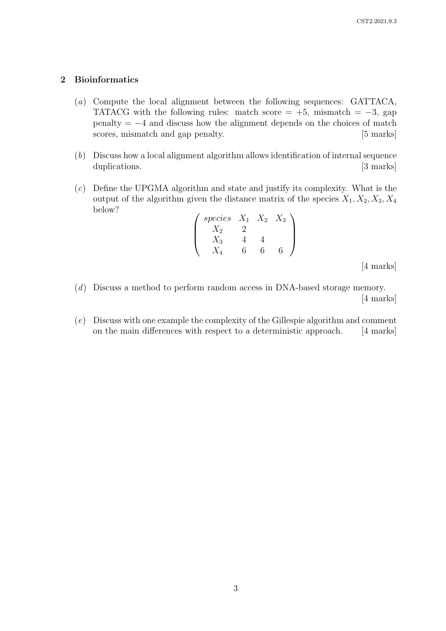### 2 Bioinformatics

- (a) Compute the local alignment between the following sequences: GATTACA, TATACG with the following rules: match score =  $+5$ , mismatch =  $-3$ , gap penalty =  $-4$  and discuss how the alignment depends on the choices of match scores, mismatch and gap penalty. [5 marks] scores, mismatch and gap penalty.
- (b) Discuss how a local alignment algorithm allows identification of internal sequence duplications. [3 marks]
- (c) Define the UPGMA algorithm and state and justify its complexity. What is the output of the algorithm given the distance matrix of the species  $X_1, X_2, X_3, X_4$ below?

$$
\begin{pmatrix}\n species & X_1 & X_2 & X_3 \\
X_2 & 2 & & \\
X_3 & 4 & 4 & \\
X_4 & 6 & 6 & 6\n\end{pmatrix}
$$

[4 marks]

- (d) Discuss a method to perform random access in DNA-based storage memory. [4 marks]
- (e) Discuss with one example the complexity of the Gillespie algorithm and comment on the main differences with respect to a deterministic approach. [4 marks]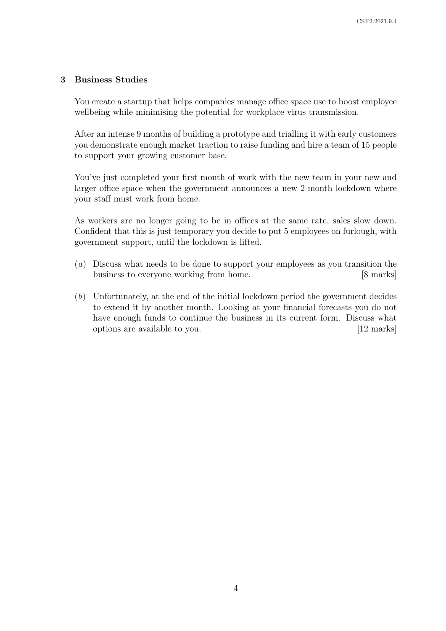## 3 Business Studies

You create a startup that helps companies manage office space use to boost employee wellbeing while minimising the potential for workplace virus transmission.

After an intense 9 months of building a prototype and trialling it with early customers you demonstrate enough market traction to raise funding and hire a team of 15 people to support your growing customer base.

You've just completed your first month of work with the new team in your new and larger office space when the government announces a new 2-month lockdown where your staff must work from home.

As workers are no longer going to be in offices at the same rate, sales slow down. Confident that this is just temporary you decide to put 5 employees on furlough, with government support, until the lockdown is lifted.

- (a) Discuss what needs to be done to support your employees as you transition the business to everyone working from home. [8 marks]
- (b) Unfortunately, at the end of the initial lockdown period the government decides to extend it by another month. Looking at your financial forecasts you do not have enough funds to continue the business in its current form. Discuss what options are available to you. [12 marks]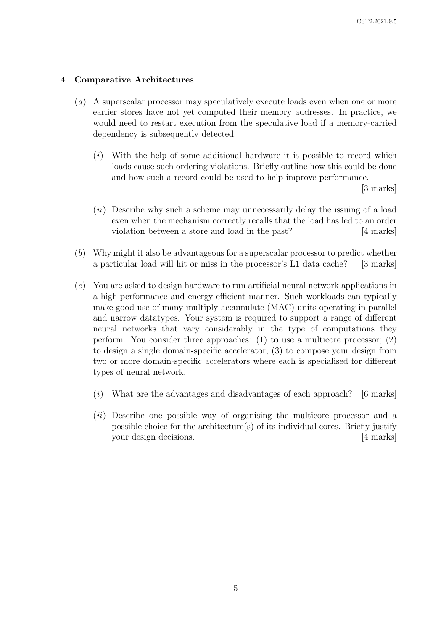#### 4 Comparative Architectures

- (a) A superscalar processor may speculatively execute loads even when one or more earlier stores have not yet computed their memory addresses. In practice, we would need to restart execution from the speculative load if a memory-carried dependency is subsequently detected.
	- $(i)$  With the help of some additional hardware it is possible to record which loads cause such ordering violations. Briefly outline how this could be done and how such a record could be used to help improve performance.

[3 marks]

- $(ii)$  Describe why such a scheme may unnecessarily delay the issuing of a load even when the mechanism correctly recalls that the load has led to an order violation between a store and load in the past? [4 marks]
- (b) Why might it also be advantageous for a superscalar processor to predict whether a particular load will hit or miss in the processor's L1 data cache? [3 marks]
- (c) You are asked to design hardware to run artificial neural network applications in a high-performance and energy-efficient manner. Such workloads can typically make good use of many multiply-accumulate (MAC) units operating in parallel and narrow datatypes. Your system is required to support a range of different neural networks that vary considerably in the type of computations they perform. You consider three approaches: (1) to use a multicore processor; (2) to design a single domain-specific accelerator; (3) to compose your design from two or more domain-specific accelerators where each is specialised for different types of neural network.
	- $(i)$  What are the advantages and disadvantages of each approach? [6 marks]
	- (ii) Describe one possible way of organising the multicore processor and a possible choice for the architecture(s) of its individual cores. Briefly justify your design decisions. [4 marks]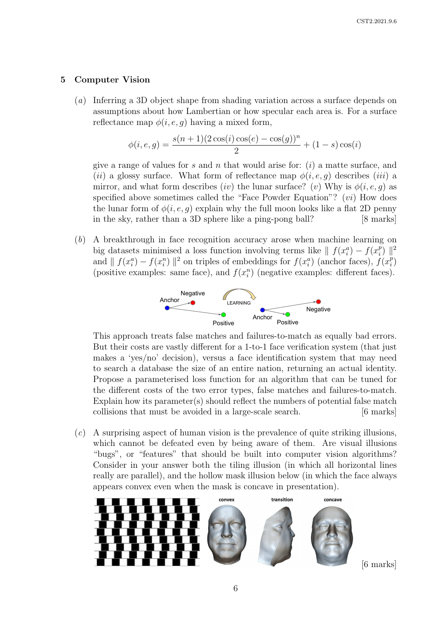#### 5 Computer Vision

(a) Inferring a 3D object shape from shading variation across a surface depends on assumptions about how Lambertian or how specular each area is. For a surface reflectance map  $\phi(i, e, q)$  having a mixed form,

$$
\phi(i, e, g) = \frac{s(n+1)(2\cos(i)\cos(e) - \cos(g))^n}{2} + (1 - s)\cos(i)
$$

give a range of values for s and n that would arise for:  $(i)$  a matte surface, and (ii) a glossy surface. What form of reflectance map  $\phi(i, e, q)$  describes (iii) a mirror, and what form describes (iv) the lunar surface? (v) Why is  $\phi(i, e, q)$  as specified above sometimes called the "Face Powder Equation"? (vi) How does the lunar form of  $\phi(i, e, g)$  explain why the full moon looks like a flat 2D penny in the sky, rather than a 3D sphere like a ping-pong ball?  $[8 \text{ marks}]$  $ba$ [8 marks] negative pairs. T is the set of all possible triplets in the

 $(b)$  A breakthrough in face recognition accuracy arose when machine learning on big datasets minimised a loss function involving terms like  $\| f(x_i^a) - f(x_i^b) \|$ imised a loss function involving terms like  $|| f(x_i^a) - f(x_i^p) ||_1^2$ and  $|| f(x_i^a) - f(x_i^n) ||^2$  on triples of embeddings for  $f(x_i^a)$  (anchor faces),  $f(x_i^a)$  $\|x_i^n\|$  ||<sup>2</sup> on triples of embeddings for  $f(x_i^a)$  (anchor faces),  $f(x_i^p)$ (positive examples: same face), and  $f(x_i^n)$  (negative examples: different faces).  $d_i$ , where  $d_i$  is the same face), and  $f(x_i^n)$  (negative examples: different faces)  $\lim_{n \to \infty} \frac{\sin n}{n}$  $\frac{1}{2}$ 



This approach treats false matches and failures-to-match as equally bad errors.  $\frac{1}{2}$  **positive**, both of  $\frac{1}{2}$  **positive**, and  $\frac{1}{2}$  **positive**, and  $\frac{1}{2}$ But their costs are vastly different for a 1-to-1 face verification system (that just makes a 'yes/no' decision), versus a face identification system that may need Propose a parameterised loss function for an algorithm that can be tuned for the different costs of the two error types, false matches and failures-to-match. Explain how its parameter(s) should reflect the numbers of potential false match  $\alpha$  ist, he avoided in a large-scale search collisions that must be avoided in a large-scale search. [6 marks]  $\mathbf{s}$ to search a database the size of an entire nation, returning an actual identity. *iffer marks* 

between *all* faces, independent of imaging conditions, of  $(c)$  A surprising aspect of human vision is the prevalence of quite striking illusions, which cannot be defeated even by being aware of them. Are visual illusions "bugs", or "features" that should be built into computer vision algorithms? Consider in your answer both the tiling illusion (in which all horizontal lines really are parallel), and the hollow mask illusion below (in which the face always  $\frac{1}{1}$  is the more more more introduced verification. appears convex even when the mask is concave in presentation).  $\frac{1}{2}$  is equal poorly in and poorly image faces for  $\frac{1}{2}$  in and poorly image faces faces for  $\frac{1}{2}$  in and poorly image faces for  $\frac{1}{2}$  in and poorly image faces for  $\frac{1}{2}$  in and poorly image for  $\frac{1$ recenterative triplets of  $\frac{1}{2}$ 



 $[6 \text{ marks}]$ To have a meaningful representation of the anchor-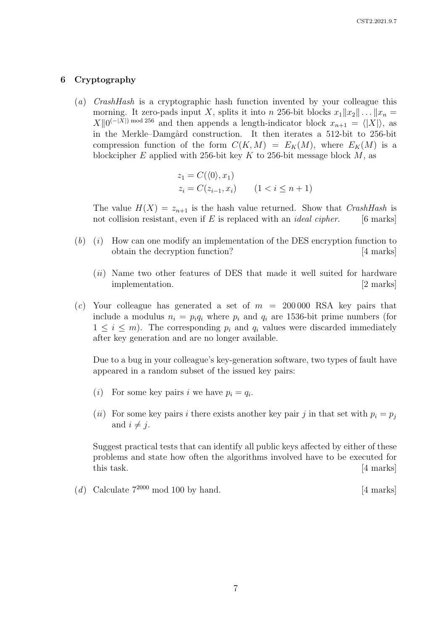#### 6 Cryptography

(a) CrashHash is a cryptographic hash function invented by your colleague this morning. It zero-pads input X, splits it into n 256-bit blocks  $x_1||x_2|| \dots ||x_n =$  $X\|0^{(-|X|)}$  mod 256 and then appends a length-indicator block  $x_{n+1} = \langle |X| \rangle$ , as in the Merkle–Damgård construction. It then iterates a 512-bit to 256-bit compression function of the form  $C(K, M) = E_K(M)$ , where  $E_K(M)$  is a blockcipher E applied with 256-bit key K to 256-bit message block  $M$ , as

$$
z_1 = C(\langle 0 \rangle, x_1)
$$
  
\n
$$
z_i = C(z_{i-1}, x_i) \qquad (1 < i \le n+1)
$$

The value  $H(X) = z_{n+1}$  is the hash value returned. Show that *CrashHash* is not collision resistant, even if E is replaced with an *ideal cipher*. [6 marks]

- $(b)$  (i) How can one modify an implementation of the DES encryption function to obtain the decryption function? [4 marks]
	- (*ii*) Name two other features of DES that made it well suited for hardware implementation. [2 marks]
- (c) Your colleague has generated a set of  $m = 200000$  RSA key pairs that include a modulus  $n_i = p_i q_i$  where  $p_i$  and  $q_i$  are 1536-bit prime numbers (for  $1 \leq i \leq m$ ). The corresponding  $p_i$  and  $q_i$  values were discarded immediately after key generation and are no longer available.

Due to a bug in your colleague's key-generation software, two types of fault have appeared in a random subset of the issued key pairs:

- (*i*) For some key pairs *i* we have  $p_i = q_i$ .
- (ii) For some key pairs i there exists another key pair j in that set with  $p_i = p_j$ and  $i \neq j$ .

Suggest practical tests that can identify all public keys affected by either of these problems and state how often the algorithms involved have to be executed for this task. [4 marks]

(d) Calculate  $7^{2000}$  mod 100 by hand. [4 marks]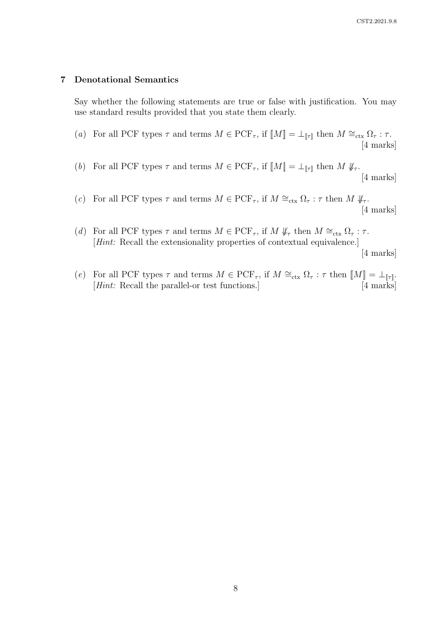#### 7 Denotational Semantics

Say whether the following statements are true or false with justification. You may use standard results provided that you state them clearly.

- (a) For all PCF types  $\tau$  and terms  $M \in \mathrm{PCF}_\tau$ , if  $\llbracket M \rrbracket = \bot_{\llbracket \tau \rrbracket}$  then  $M \cong_\mathrm{ctx} \Omega_\tau : \tau$ . [4 marks]
- (b) For all PCF types  $\tau$  and terms  $M \in \mathrm{PCF}_{\tau}$ , if  $\llbracket M \rrbracket = \perp_{\llbracket \tau \rrbracket}$  then  $M \nsubseteq_{\tau}$ . [4 marks]
- (c) For all PCF types  $\tau$  and terms  $M \in \mathrm{PCF}_{\tau}$ , if  $M \cong_{\text{ctx}} \Omega_{\tau} : \tau$  then  $M \not\downarrow_{\tau}$ . [4 marks]
- (d) For all PCF types  $\tau$  and terms  $M \in \mathrm{PCF}_{\tau}$ , if  $M \nsubseteq_{\tau} \mathbb{R}$  then  $M \cong_{\text{ctx}} \Omega_{\tau} : \tau$ . [*Hint*: Recall the extensionality properties of contextual equivalence.]

[4 marks]

(e) For all PCF types  $\tau$  and terms  $M \in \text{PCF}_{\tau}$ , if  $M \cong_{\text{ctx}} \Omega_{\tau} : \tau$  then  $\llbracket M \rrbracket = \bot_{\llbracket \tau \rrbracket}$ .<br>[4 marks] [ $Hint: Recall the parallel-or test functions.]$ ]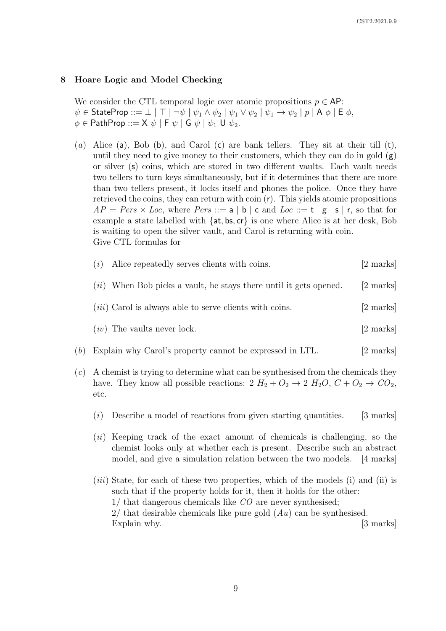#### 8 Hoare Logic and Model Checking

We consider the CTL temporal logic over atomic propositions  $p \in AP$ :  $\psi \in$  StateProp ::=  $\bot \mid \top \mid \neg \psi \mid \psi_1 \wedge \psi_2 \mid \psi_1 \vee \psi_2 \mid \psi_1 \rightarrow \psi_2 \mid p \mid A \phi \mid E \phi$ ,  $\phi \in \mathsf{PathProp} ::= \mathsf{X} \ \psi \mid \mathsf{F} \ \psi \mid \mathsf{G} \ \psi \mid \psi_1 \ \mathsf{U} \ \psi_2.$ 

(a) Alice (a), Bob (b), and Carol (c) are bank tellers. They sit at their till  $(t)$ , until they need to give money to their customers, which they can do in gold  $(g)$ or silver (s) coins, which are stored in two different vaults. Each vault needs two tellers to turn keys simultaneously, but if it determines that there are more than two tellers present, it locks itself and phones the police. Once they have retrieved the coins, they can return with coin (r). This yields atomic propositions  $AP = Pers \times Loc$ , where  $Pers ::= a | b | c$  and  $Loc ::= t | g | s | r$ , so that for example a state labelled with  $\{at, bs, cr\}$  is one where Alice is at her desk, Bob is waiting to open the silver vault, and Carol is returning with coin. Give CTL formulas for

| (i) | Alice repeatedly serves clients with coins.                         | [2 marks] |
|-----|---------------------------------------------------------------------|-----------|
|     | $(ii)$ When Bob picks a vault, he stays there until it gets opened. | [2 marks] |
|     | $(iii)$ Carol is always able to serve clients with coins.           | [2 marks] |

$$
(iv) The vaults never lock.
$$
 [2 marks]

- (b) Explain why Carol's property cannot be expressed in LTL. [2 marks]
- (c) A chemist is trying to determine what can be synthesised from the chemicals they have. They know all possible reactions:  $2 H_2 + O_2 \rightarrow 2 H_2O$ ,  $C + O_2 \rightarrow CO_2$ , etc.
	- $(i)$  Describe a model of reactions from given starting quantities. [3 marks]
	- $(ii)$  Keeping track of the exact amount of chemicals is challenging, so the chemist looks only at whether each is present. Describe such an abstract model, and give a simulation relation between the two models. [4 marks]
	- $(iii)$  State, for each of these two properties, which of the models  $(i)$  and  $(ii)$  is such that if the property holds for it, then it holds for the other: 1/ that dangerous chemicals like CO are never synthesised; 2/ that desirable chemicals like pure gold  $(Au)$  can be synthesised. Explain why. [3 marks]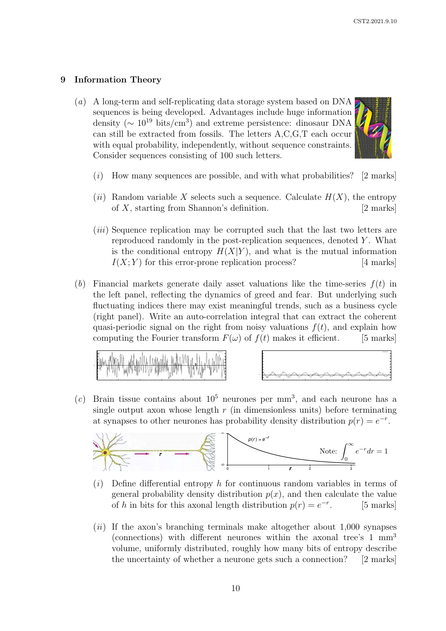## 9 Information Theory

(a) A long-term and self-replicating data storage system based on DNA sequences is being developed. Advantages include huge information density ( $\sim 10^{19}$  bits/cm<sup>3</sup>) and extreme persistence: dinosaur DNA can still be extracted from fossils. The letters A,C,G,T each occur with equal probability, independently, without sequence constraints. Consider sequences consisting of 100 such letters.



- $(i)$  How many sequences are possible, and with what probabilities? [2 marks]
- (ii) Random variable X selects such a sequence. Calculate  $H(X)$ , the entropy of  $X$ , starting from Shannon's definition. [2 marks]
- (iii) Sequence replication may be corrupted such that the last two letters are reproduced randomly in the post-replication sequences, denoted Y . What is the conditional entropy  $H(X|Y)$ , and what is the mutual information  $I(X;Y)$  for this error-prone replication process? [4 marks]  $I(X; Y)$  for this error-prone replication process?
- (b) Financial markets generate daily asset valuations like the time-series  $f(t)$  in the left panel, reflecting the dynamics of greed and fear. But underlying such fluctuating indices there may exist meaningful trends, such as a business cycle (right panel). Write an auto-correlation integral that can extract the coherent quasi-periodic signal on the right from noisy valuations  $f(t)$ , and explain how computing the Fourier transform  $F(\omega)$  of  $f(t)$  makes it efficient. [5 marks]





 $(c)$  Brain tissue contains about  $10^5$  neurones per mm<sup>3</sup>, and each neurone has a single output axon whose length  $r$  (in dimensionless units) before terminating at synapses to other neurones has probability density distribution  $p(r) = e^{-r}$ .



- $(i)$  Define differential entropy h for continuous random variables in terms of general probability density distribution  $p(x)$ , and then calculate the value of h in bits for this axonal length distribution  $p(r) = e^{-r}$ [5 marks]
- $(ii)$  If the axon's branching terminals make altogether about 1,000 synapses (connections) with different neurones within the axonal tree's 1 mm<sup>3</sup> volume, uniformly distributed, roughly how many bits of entropy describe the uncertainty of whether a neurone gets such a connection? [2 marks]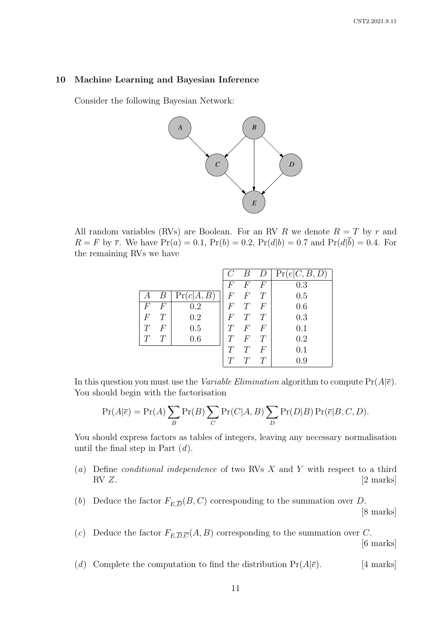#### 10 Machine Learning and Bayesian Inference

Consider the following Bayesian Network:



All random variables (RVs) are Boolean. For an RV R we denote  $R = T$  by r and  $R = F$  by  $\bar{r}$ . We have  $Pr(a) = 0.1$ ,  $Pr(b) = 0.2$ ,  $Pr(d|b) = 0.7$  and  $Pr(d|\bar{b}) = 0.4$ . For the remaining RVs we have

|                  |        |            |                | В              | $\left( \right)$ | Pr(e C, B, D) |
|------------------|--------|------------|----------------|----------------|------------------|---------------|
|                  |        |            | F              | F              | F                | 0.3           |
|                  | В      | Pr(c A, B) | $\,F$          | $\overline{F}$ |                  | 0.5           |
| F                | F      | 0.2        | F              | T              | $\,F$            | 0.6           |
| $\boldsymbol{F}$ | $\tau$ | 0.2        | $\overline{F}$ |                |                  | 0.3           |
|                  | $\,F$  | 0.5        | T              | $\,F$          | $\,F$            | 0.1           |
|                  | $\tau$ | 0.6        | T              | $\,F$          |                  | 0.2           |
|                  |        |            | T              | T              | $\,F$            | 0.1           |
|                  |        |            | T              |                |                  | $0.9\,$       |

In this question you must use the *Variable Elimination* algorithm to compute  $Pr(A|\overline{e})$ . You should begin with the factorisation

$$
Pr(A|\overline{e}) = Pr(A) \sum_{B} Pr(B) \sum_{C} Pr(C|A, B) \sum_{D} Pr(D|B) Pr(\overline{e}|B, C, D).
$$

You should express factors as tables of integers, leaving any necessary normalisation until the final step in Part  $(d)$ .

- (a) Define *conditional independence* of two RVs  $X$  and  $Y$  with respect to a third  $RVZ$ . [2 marks]
- (b) Deduce the factor  $F_{E,\overline{D}}(B,C)$  corresponding to the summation over D. [8 marks]
- (c) Deduce the factor  $F_{E,\overline{D},\overline{C}}(A, B)$  corresponding to the summation over C. [6 marks]
- (d) Complete the computation to find the distribution  $Pr(A|\overline{e})$ . [4 marks]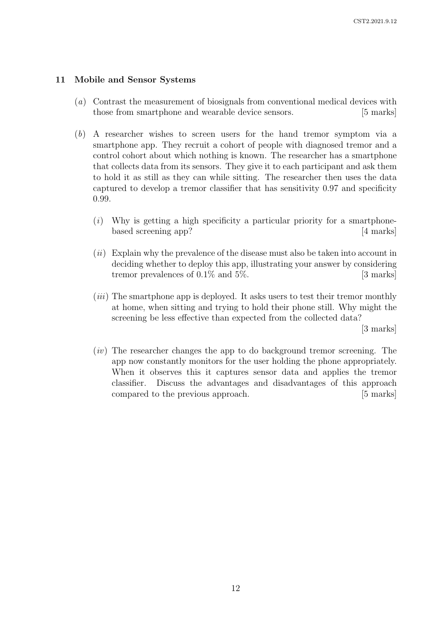#### 11 Mobile and Sensor Systems

- (a) Contrast the measurement of biosignals from conventional medical devices with those from smartphone and wearable device sensors. [5 marks]
- (b) A researcher wishes to screen users for the hand tremor symptom via a smartphone app. They recruit a cohort of people with diagnosed tremor and a control cohort about which nothing is known. The researcher has a smartphone that collects data from its sensors. They give it to each participant and ask them to hold it as still as they can while sitting. The researcher then uses the data captured to develop a tremor classifier that has sensitivity 0.97 and specificity 0.99.
	- $(i)$  Why is getting a high specificity a particular priority for a smartphonebased screening app? [4 marks]
	- $(ii)$  Explain why the prevalence of the disease must also be taken into account in deciding whether to deploy this app, illustrating your answer by considering tremor prevalences of  $0.1\%$  and  $5\%$ . [3 marks]
	- (*iii*) The smartphone app is deployed. It asks users to test their tremor monthly at home, when sitting and trying to hold their phone still. Why might the screening be less effective than expected from the collected data?

[3 marks]

 $(iv)$  The researcher changes the app to do background tremor screening. The app now constantly monitors for the user holding the phone appropriately. When it observes this it captures sensor data and applies the tremor classifier. Discuss the advantages and disadvantages of this approach compared to the previous approach. [5 marks]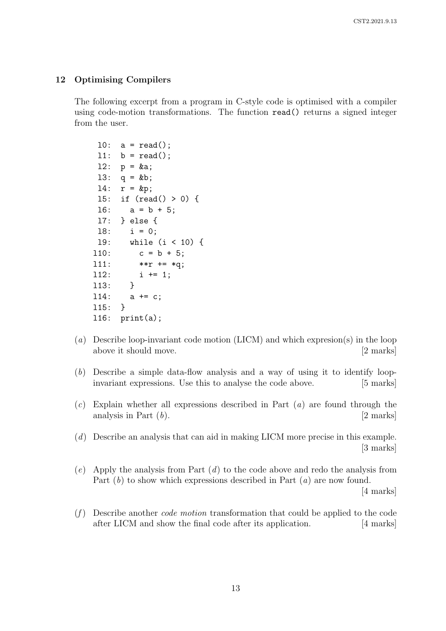#### 12 Optimising Compilers

The following excerpt from a program in C-style code is optimised with a compiler using code-motion transformations. The function read() returns a signed integer from the user.

```
10: a = read();
11: b = read();
12: p = k a;
13: q = kb;14: r = kp;
l5: if (read() > 0) {
16: a = b + 5:
l7: } else {
18: i = 0;l9: while (i < 10) {
110: c = b + 5;
111: **r += *q;
112: i += 1;l13: }
l14: a += c;
l15: }
l16: print(a);
```
- (a) Describe loop-invariant code motion (LICM) and which expresion(s) in the loop above it should move. [2 marks]
- (b) Describe a simple data-flow analysis and a way of using it to identify loopinvariant expressions. Use this to analyse the code above. [5 marks]
- $(c)$  Explain whether all expressions described in Part  $(a)$  are found through the analysis in Part  $(b)$ . [2 marks]
- (d) Describe an analysis that can aid in making LICM more precise in this example. [3 marks]
- $(e)$  Apply the analysis from Part  $(d)$  to the code above and redo the analysis from Part  $(b)$  to show which expressions described in Part  $(a)$  are now found.

[4 marks]

 $(f)$  Describe another *code motion* transformation that could be applied to the code after LICM and show the final code after its application. [4 marks]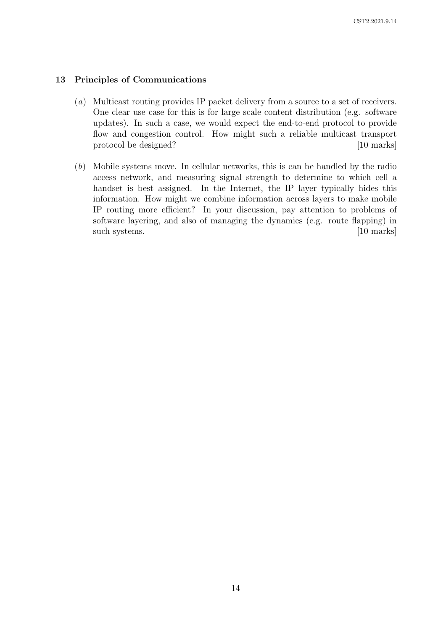#### 13 Principles of Communications

- (a) Multicast routing provides IP packet delivery from a source to a set of receivers. One clear use case for this is for large scale content distribution (e.g. software updates). In such a case, we would expect the end-to-end protocol to provide flow and congestion control. How might such a reliable multicast transport protocol be designed? [10 marks]
- (b) Mobile systems move. In cellular networks, this is can be handled by the radio access network, and measuring signal strength to determine to which cell a handset is best assigned. In the Internet, the IP layer typically hides this information. How might we combine information across layers to make mobile IP routing more efficient? In your discussion, pay attention to problems of software layering, and also of managing the dynamics (e.g. route flapping) in such systems. [10 marks]  $\sim$  [10 marks]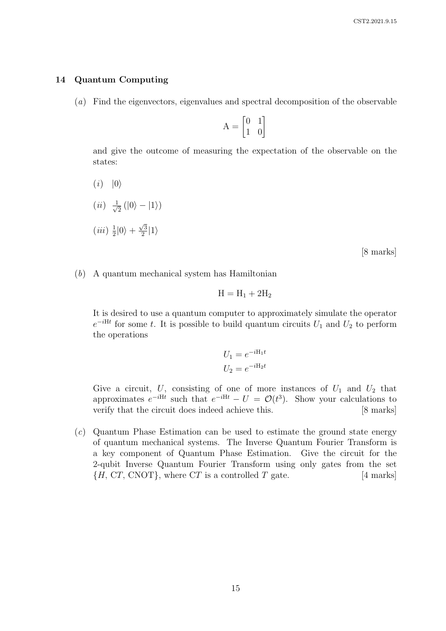#### 14 Quantum Computing

(a) Find the eigenvectors, eigenvalues and spectral decomposition of the observable

 $A = \begin{bmatrix} 0 & 1 \\ 1 & 0 \end{bmatrix}$ 

and give the outcome of measuring the expectation of the observable on the states:

 $(i)$   $|0\rangle$  $(ii) \frac{1}{\sqrt{2}}$  $\frac{1}{2}$   $(|0\rangle - |1\rangle)$  $(iii) \frac{1}{2}$  $\frac{1}{2}|0\rangle +$  $\sqrt{3}$  $\frac{\sqrt{3}}{2}|1\rangle$ 

[8 marks]

(b) A quantum mechanical system has Hamiltonian

$$
H = H_1 + 2H_2
$$

It is desired to use a quantum computer to approximately simulate the operator  $e^{-iHt}$  for some t. It is possible to build quantum circuits  $U_1$  and  $U_2$  to perform the operations

$$
U_1 = e^{-iH_1t}
$$

$$
U_2 = e^{-iH_2t}
$$

Give a circuit, U, consisting of one of more instances of  $U_1$  and  $U_2$  that approximates  $e^{-iHt}$  such that  $e^{-iHt} - U = \mathcal{O}(t^3)$ . Show your calculations to verify that the circuit does indeed achieve this. [8 marks]

(c) Quantum Phase Estimation can be used to estimate the ground state energy of quantum mechanical systems. The Inverse Quantum Fourier Transform is a key component of Quantum Phase Estimation. Give the circuit for the 2-qubit Inverse Quantum Fourier Transform using only gates from the set  ${H, CT, CNOT}$ , where CT is a controlled T gate. [4 marks]